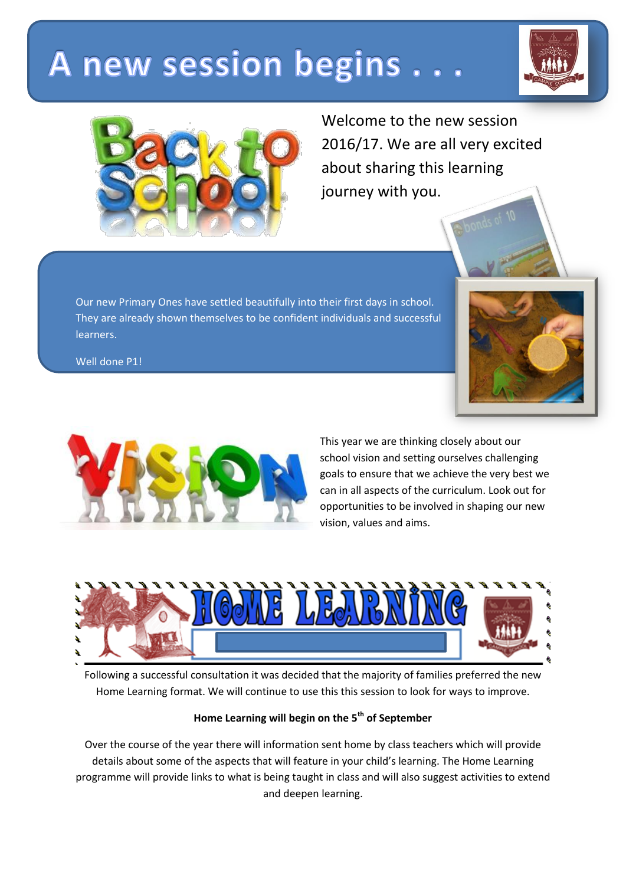## A new session begins..





Welcome to the new session 2016/17. We are all very excited about sharing this learning journey with you.

Our new Primary Ones have settled beautifully into their first days in school. They are already shown themselves to be confident individuals and successful learners.

Well done P1!



This year we are thinking closely about our school vision and setting ourselves challenging goals to ensure that we achieve the very best we can in all aspects of the curriculum. Look out for opportunities to be involved in shaping our new vision, values and aims.



Following a successful consultation it was decided that the majority of families preferred the new Home Learning format. We will continue to use this this session to look for ways to improve.

## **Home Learning will begin on the 5th of September**

Over the course of the year there will information sent home by class teachers which will provide details about some of the aspects that will feature in your child's learning. The Home Learning programme will provide links to what is being taught in class and will also suggest activities to extend and deepen learning.